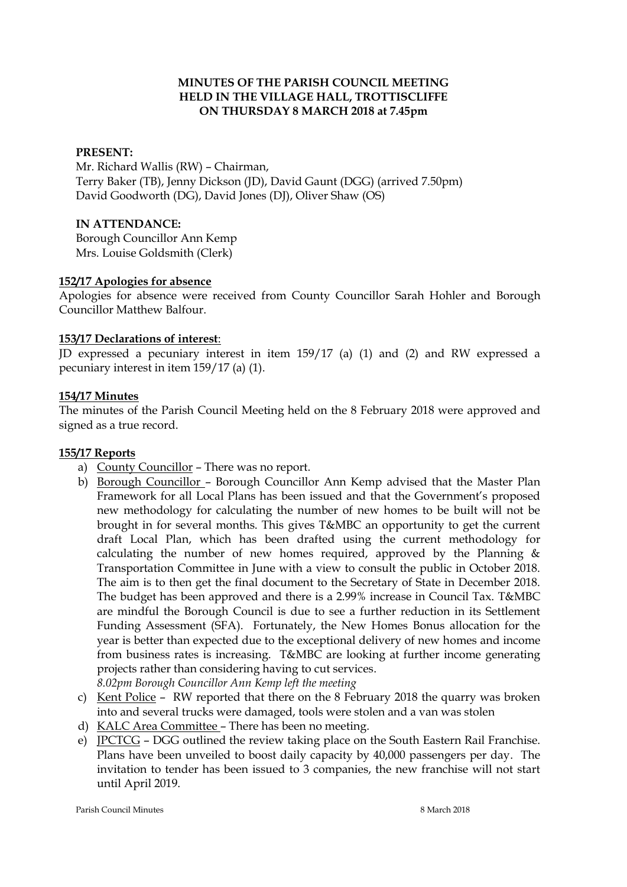## **MINUTES OF THE PARISH COUNCIL MEETING HELD IN THE VILLAGE HALL, TROTTISCLIFFE ON THURSDAY 8 MARCH 2018 at 7.45pm**

#### **PRESENT:**

Mr. Richard Wallis (RW) – Chairman, Terry Baker (TB), Jenny Dickson (JD), David Gaunt (DGG) (arrived 7.50pm) David Goodworth (DG), David Jones (DJ), Oliver Shaw (OS)

## **IN ATTENDANCE:**

Borough Councillor Ann Kemp Mrs. Louise Goldsmith (Clerk)

#### **152/17 Apologies for absence**

Apologies for absence were received from County Councillor Sarah Hohler and Borough Councillor Matthew Balfour.

#### **153/17 Declarations of interest**:

JD expressed a pecuniary interest in item 159/17 (a) (1) and (2) and RW expressed a pecuniary interest in item 159/17 (a) (1).

#### **154/17 Minutes**

The minutes of the Parish Council Meeting held on the 8 February 2018 were approved and signed as a true record.

#### **155/17 Reports**

- a) County Councillor There was no report.
- b) Borough Councillor Borough Councillor Ann Kemp advised that the Master Plan Framework for all Local Plans has been issued and that the Government's proposed new methodology for calculating the number of new homes to be built will not be brought in for several months. This gives T&MBC an opportunity to get the current draft Local Plan, which has been drafted using the current methodology for calculating the number of new homes required, approved by the Planning & Transportation Committee in June with a view to consult the public in October 2018. The aim is to then get the final document to the Secretary of State in December 2018. The budget has been approved and there is a 2.99% increase in Council Tax. T&MBC are mindful the Borough Council is due to see a further reduction in its Settlement Funding Assessment (SFA). Fortunately, the New Homes Bonus allocation for the year is better than expected due to the exceptional delivery of new homes and income from business rates is increasing. T&MBC are looking at further income generating projects rather than considering having to cut services.

*8.02pm Borough Councillor Ann Kemp left the meeting*

- c) Kent Police RW reported that there on the 8 February 2018 the quarry was broken into and several trucks were damaged, tools were stolen and a van was stolen
- d) KALC Area Committee There has been no meeting.
- e) JPCTCG DGG outlined the review taking place on the South Eastern Rail Franchise. Plans have been unveiled to boost daily capacity by 40,000 passengers per day. The invitation to tender has been issued to 3 companies, the new franchise will not start until April 2019.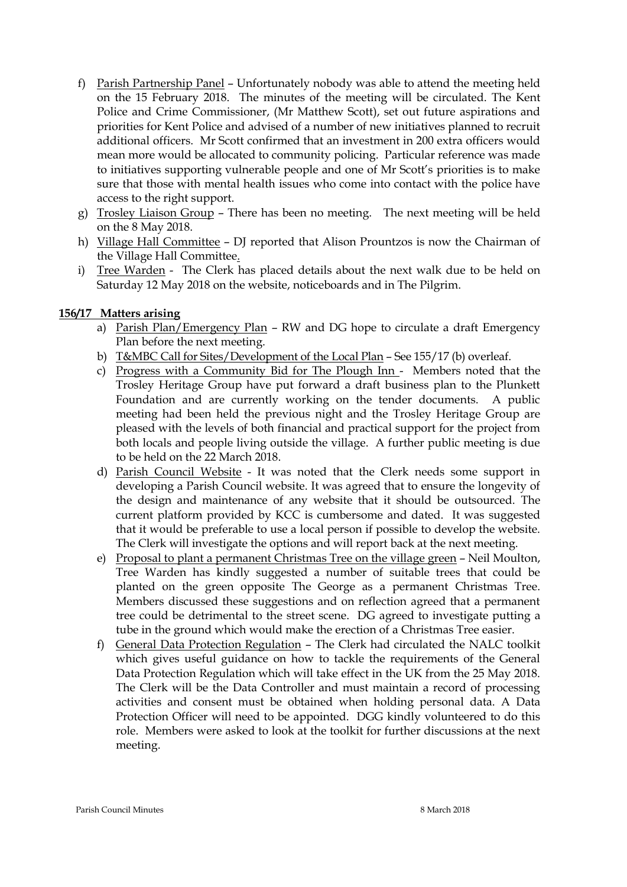- f) Parish Partnership Panel Unfortunately nobody was able to attend the meeting held on the 15 February 2018. The minutes of the meeting will be circulated. The Kent Police and Crime Commissioner, (Mr Matthew Scott), set out future aspirations and priorities for Kent Police and advised of a number of new initiatives planned to recruit additional officers. Mr Scott confirmed that an investment in 200 extra officers would mean more would be allocated to community policing. Particular reference was made to initiatives supporting vulnerable people and one of Mr Scott's priorities is to make sure that those with mental health issues who come into contact with the police have access to the right support.
- g) Trosley Liaison Group There has been no meeting. The next meeting will be held on the 8 May 2018.
- h) Village Hall Committee DJ reported that Alison Prountzos is now the Chairman of the Village Hall Committee.
- i) Tree Warden The Clerk has placed details about the next walk due to be held on Saturday 12 May 2018 on the website, noticeboards and in The Pilgrim.

## **156/17 Matters arising**

- a) Parish Plan/Emergency Plan RW and DG hope to circulate a draft Emergency Plan before the next meeting.
- b) T&MBC Call for Sites/Development of the Local Plan See 155/17 (b) overleaf.
- c) Progress with a Community Bid for The Plough Inn Members noted that the Trosley Heritage Group have put forward a draft business plan to the Plunkett Foundation and are currently working on the tender documents. A public meeting had been held the previous night and the Trosley Heritage Group are pleased with the levels of both financial and practical support for the project from both locals and people living outside the village. A further public meeting is due to be held on the 22 March 2018.
- d) Parish Council Website It was noted that the Clerk needs some support in developing a Parish Council website. It was agreed that to ensure the longevity of the design and maintenance of any website that it should be outsourced. The current platform provided by KCC is cumbersome and dated. It was suggested that it would be preferable to use a local person if possible to develop the website. The Clerk will investigate the options and will report back at the next meeting.
- e) Proposal to plant a permanent Christmas Tree on the village green Neil Moulton, Tree Warden has kindly suggested a number of suitable trees that could be planted on the green opposite The George as a permanent Christmas Tree. Members discussed these suggestions and on reflection agreed that a permanent tree could be detrimental to the street scene. DG agreed to investigate putting a tube in the ground which would make the erection of a Christmas Tree easier.
- f) General Data Protection Regulation The Clerk had circulated the NALC toolkit which gives useful guidance on how to tackle the requirements of the General Data Protection Regulation which will take effect in the UK from the 25 May 2018. The Clerk will be the Data Controller and must maintain a record of processing activities and consent must be obtained when holding personal data. A Data Protection Officer will need to be appointed. DGG kindly volunteered to do this role. Members were asked to look at the toolkit for further discussions at the next meeting.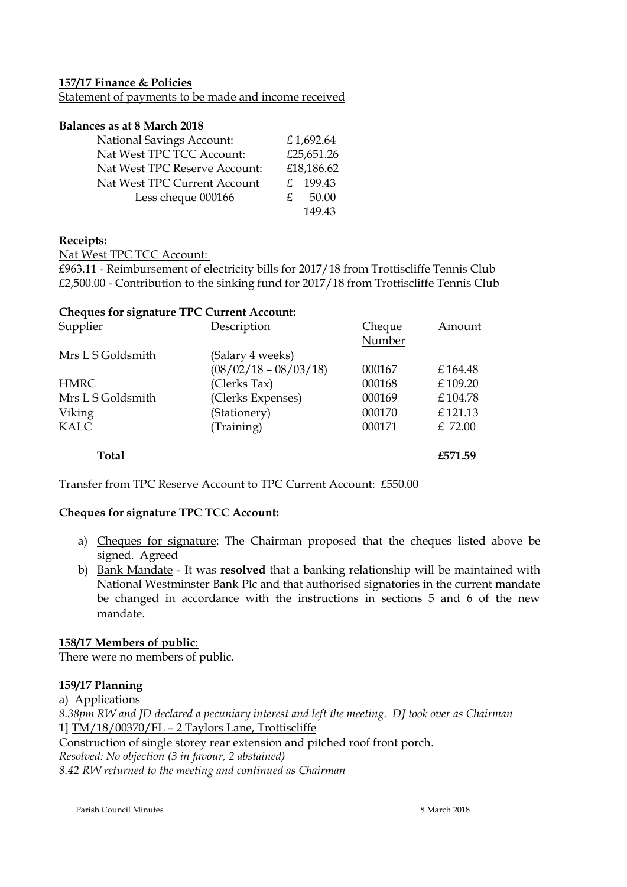#### **157/17 Finance & Policies**

Statement of payments to be made and income received

#### **Balances as at 8 March 2018**

| <b>National Savings Account:</b> | £1,692.64  |
|----------------------------------|------------|
| Nat West TPC TCC Account:        | £25,651.26 |
| Nat West TPC Reserve Account:    | £18,186.62 |
| Nat West TPC Current Account     | £ 199.43   |
| Less cheque 000166               | 50.00      |
|                                  | 149.43     |

## **Receipts:**

Nat West TPC TCC Account:

£963.11 - Reimbursement of electricity bills for 2017/18 from Trottiscliffe Tennis Club £2,500.00 - Contribution to the sinking fund for 2017/18 from Trottiscliffe Tennis Club

| <b>Cheques for signature TPC Current Account:</b> |                         |        |          |
|---------------------------------------------------|-------------------------|--------|----------|
| Supplier                                          | Description             | Cheque | Amount   |
|                                                   |                         | Number |          |
| Mrs L S Goldsmith                                 | (Salary 4 weeks)        |        |          |
|                                                   | $(08/02/18 - 08/03/18)$ | 000167 | £164.48  |
| <b>HMRC</b>                                       | (Clerks Tax)            | 000168 | £ 109.20 |
| Mrs L S Goldsmith                                 | (Clerks Expenses)       | 000169 | £104.78  |
| Viking                                            | (Stationery)            | 000170 | £121.13  |
| <b>KALC</b>                                       | (Training)              | 000171 | £ 72.00  |
| Total                                             |                         |        | £571.59  |

Transfer from TPC Reserve Account to TPC Current Account: £550.00

## **Cheques for signature TPC TCC Account:**

- a) Cheques for signature: The Chairman proposed that the cheques listed above be signed. Agreed
- b) Bank Mandate It was **resolved** that a banking relationship will be maintained with National Westminster Bank Plc and that authorised signatories in the current mandate be changed in accordance with the instructions in sections 5 and 6 of the new mandate.

## **158/17 Members of public**:

There were no members of public.

## **159/17 Planning**

a) Applications *8.38pm RW and JD declared a pecuniary interest and left the meeting. DJ took over as Chairman* 1] TM/18/00370/FL – 2 Taylors Lane, Trottiscliffe Construction of single storey rear extension and pitched roof front porch. *Resolved: No objection (3 in favour, 2 abstained) 8.42 RW returned to the meeting and continued as Chairman*

Parish Council Minutes 8 March 2018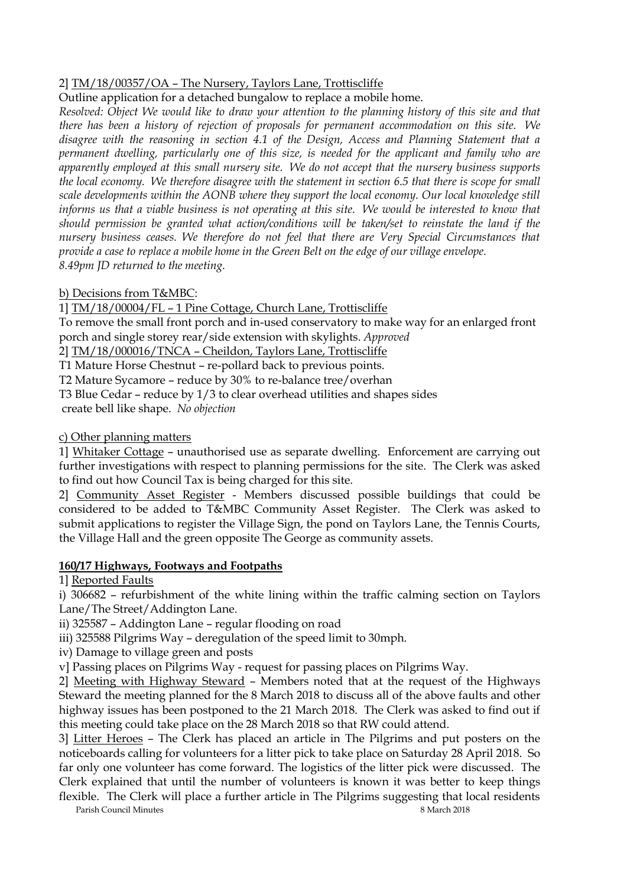# 2] TM/18/00357/OA – The Nursery, Taylors Lane, Trottiscliffe

Outline application for a detached bungalow to replace a mobile home.

*Resolved: Object We would like to draw your attention to the planning history of this site and that there has been a history of rejection of proposals for permanent accommodation on this site. We disagree with the reasoning in section 4.1 of the Design, Access and Planning Statement that a permanent dwelling, particularly one of this size, is needed for the applicant and family who are apparently employed at this small nursery site. We do not accept that the nursery business supports the local economy. We therefore disagree with the statement in section 6.5 that there is scope for small scale developments within the AONB where they support the local economy. Our local knowledge still informs us that a viable business is not operating at this site. We would be interested to know that should permission be granted what action/conditions will be taken/set to reinstate the land if the nursery business ceases. We therefore do not feel that there are Very Special Circumstances that provide a case to replace a mobile home in the Green Belt on the edge of our village envelope. 8.49pm JD returned to the meeting.*

# b) Decisions from T&MBC:

1] TM/18/00004/FL – 1 Pine Cottage, Church Lane, Trottiscliffe

To remove the small front porch and in-used conservatory to make way for an enlarged front porch and single storey rear/side extension with skylights. *Approved*

2] TM/18/000016/TNCA – Cheildon, Taylors Lane, Trottiscliffe

T1 Mature Horse Chestnut – re-pollard back to previous points.

T2 Mature Sycamore – reduce by 30% to re-balance tree/overhan

T3 Blue Cedar – reduce by 1/3 to clear overhead utilities and shapes sides

create bell like shape. *No objection* 

# c) Other planning matters

1] Whitaker Cottage – unauthorised use as separate dwelling. Enforcement are carrying out further investigations with respect to planning permissions for the site. The Clerk was asked to find out how Council Tax is being charged for this site.

2] Community Asset Register - Members discussed possible buildings that could be considered to be added to T&MBC Community Asset Register. The Clerk was asked to submit applications to register the Village Sign, the pond on Taylors Lane, the Tennis Courts, the Village Hall and the green opposite The George as community assets.

# **160/17 Highways, Footways and Footpaths**

1] Reported Faults

i) 306682 – refurbishment of the white lining within the traffic calming section on Taylors Lane/The Street/Addington Lane.

ii) 325587 – Addington Lane – regular flooding on road

iii) 325588 Pilgrims Way – deregulation of the speed limit to 30mph.

iv) Damage to village green and posts

v] Passing places on Pilgrims Way - request for passing places on Pilgrims Way.

2] Meeting with Highway Steward – Members noted that at the request of the Highways Steward the meeting planned for the 8 March 2018 to discuss all of the above faults and other highway issues has been postponed to the 21 March 2018. The Clerk was asked to find out if this meeting could take place on the 28 March 2018 so that RW could attend.

3] Litter Heroes – The Clerk has placed an article in The Pilgrims and put posters on the noticeboards calling for volunteers for a litter pick to take place on Saturday 28 April 2018. So far only one volunteer has come forward. The logistics of the litter pick were discussed. The Clerk explained that until the number of volunteers is known it was better to keep things flexible. The Clerk will place a further article in The Pilgrims suggesting that local residents

Parish Council Minutes 8 March 2018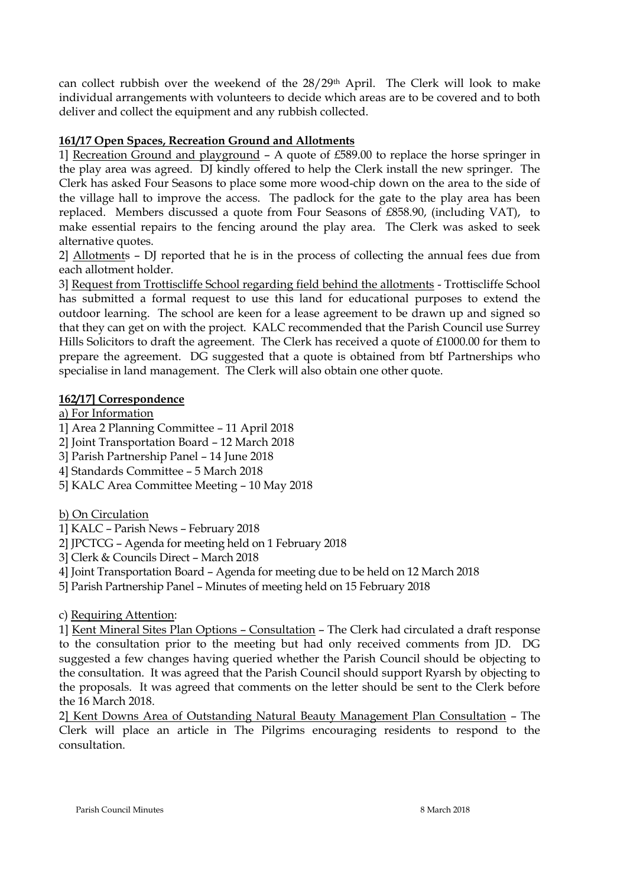can collect rubbish over the weekend of the 28/29th April. The Clerk will look to make individual arrangements with volunteers to decide which areas are to be covered and to both deliver and collect the equipment and any rubbish collected.

# **161/17 Open Spaces, Recreation Ground and Allotments**

1] Recreation Ground and playground – A quote of £589.00 to replace the horse springer in the play area was agreed. DJ kindly offered to help the Clerk install the new springer. The Clerk has asked Four Seasons to place some more wood-chip down on the area to the side of the village hall to improve the access. The padlock for the gate to the play area has been replaced. Members discussed a quote from Four Seasons of £858.90, (including VAT), to make essential repairs to the fencing around the play area. The Clerk was asked to seek alternative quotes.

2] Allotments – DJ reported that he is in the process of collecting the annual fees due from each allotment holder.

3] Request from Trottiscliffe School regarding field behind the allotments - Trottiscliffe School has submitted a formal request to use this land for educational purposes to extend the outdoor learning. The school are keen for a lease agreement to be drawn up and signed so that they can get on with the project. KALC recommended that the Parish Council use Surrey Hills Solicitors to draft the agreement. The Clerk has received a quote of £1000.00 for them to prepare the agreement. DG suggested that a quote is obtained from btf Partnerships who specialise in land management. The Clerk will also obtain one other quote.

## **162/17] Correspondence**

a) For Information

1] Area 2 Planning Committee – 11 April 2018

2] Joint Transportation Board – 12 March 2018

3] Parish Partnership Panel – 14 June 2018

4] Standards Committee – 5 March 2018

5] KALC Area Committee Meeting – 10 May 2018

b) On Circulation

1] KALC – Parish News – February 2018

2] JPCTCG – Agenda for meeting held on 1 February 2018

3] Clerk & Councils Direct – March 2018

4] Joint Transportation Board – Agenda for meeting due to be held on 12 March 2018

5] Parish Partnership Panel – Minutes of meeting held on 15 February 2018

c) Requiring Attention:

1] Kent Mineral Sites Plan Options – Consultation – The Clerk had circulated a draft response to the consultation prior to the meeting but had only received comments from JD. DG suggested a few changes having queried whether the Parish Council should be objecting to the consultation. It was agreed that the Parish Council should support Ryarsh by objecting to the proposals. It was agreed that comments on the letter should be sent to the Clerk before the 16 March 2018.

2] Kent Downs Area of Outstanding Natural Beauty Management Plan Consultation – The Clerk will place an article in The Pilgrims encouraging residents to respond to the consultation.